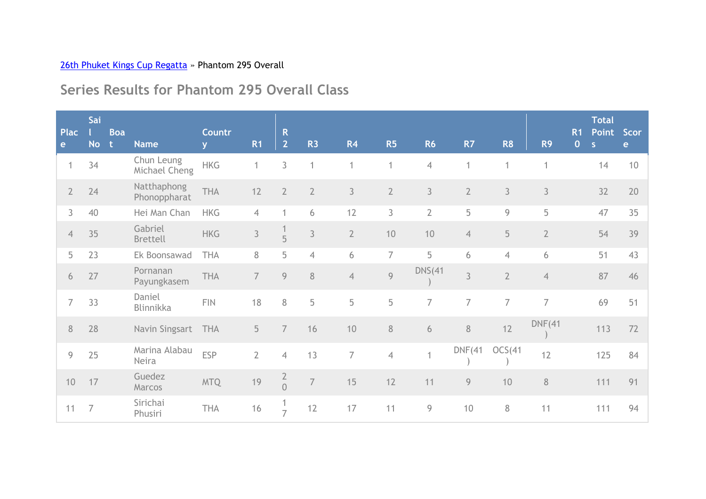## 26th Phuket Kings Cup Regatta » Phantom 295 Overall

## **Series Results for Phantom 295 Overall Class**

| <b>Plac</b>    | Sai            | <b>Boa</b> |                             | Countr                  |                | $\mathsf{R}$                         |                |                |                |                |                |                |                | R <sub>1</sub> | <b>Total</b><br><b>Point</b> | Scor         |
|----------------|----------------|------------|-----------------------------|-------------------------|----------------|--------------------------------------|----------------|----------------|----------------|----------------|----------------|----------------|----------------|----------------|------------------------------|--------------|
| e              | <b>No</b>      | -t         | <b>Name</b>                 | $\overline{\mathbf{v}}$ | <b>R1</b>      | 2 <sup>1</sup>                       | <b>R3</b>      | R <sub>4</sub> | R5             | <b>R6</b>      | R7             | R <sub>8</sub> | R <sub>9</sub> | $\overline{0}$ | S                            | $\mathbf{e}$ |
| 1              | 34             |            | Chun Leung<br>Michael Cheng | <b>HKG</b>              | 1              | 3                                    | 1              | 1              | $\mathbf{1}$   | $\overline{4}$ | 1              | 1              | 1              |                | 14                           | 10           |
| $2^{\circ}$    | 24             |            | Natthaphong<br>Phonoppharat | <b>THA</b>              | 12             | $\overline{2}$                       | $\overline{2}$ | 3              | $\overline{2}$ | 3              | $\overline{2}$ | $\mathfrak{Z}$ | 3              |                | 32                           | 20           |
| 3              | 40             |            | Hei Man Chan                | <b>HKG</b>              | $\overline{4}$ |                                      | 6              | 12             | 3              | $\overline{2}$ | 5              | 9              | 5              |                | 47                           | 35           |
| $\overline{4}$ | 35             |            | Gabriel<br><b>Brettell</b>  | <b>HKG</b>              | $\mathfrak{Z}$ | $\frac{1}{5}$                        | $\mathfrak{Z}$ | $\overline{2}$ | 10             | 10             | $\overline{4}$ | 5              | $\overline{2}$ |                | 54                           | 39           |
| 5              | 23             |            | Ek Boonsawad                | <b>THA</b>              | 8              | 5                                    | $\overline{4}$ | 6              | $\overline{7}$ | 5              | 6              | $\overline{4}$ | 6              |                | 51                           | 43           |
| 6              | 27             |            | Pornanan<br>Payungkasem     | THA                     | $\overline{7}$ | 9                                    | $\, 8$         | $\overline{4}$ | $\overline{9}$ | <b>DNS(41</b>  | 3              | $\overline{2}$ | $\overline{4}$ |                | 87                           | 46           |
| 7              | 33             |            | Daniel<br>Blinnikka         | <b>FIN</b>              | 18             | 8                                    | 5              | 5              | 5              | $\overline{7}$ | $\overline{7}$ | $\overline{7}$ | $\overline{7}$ |                | 69                           | 51           |
| 8              | 28             |            | Navin Singsart              | <b>THA</b>              | 5              | $\overline{7}$                       | 16             | 10             | $\, 8$         | 6              | 8              | 12             | DNF(41)        |                | 113                          | 72           |
| 9              | 25             |            | Marina Alabau<br>Neira      | <b>ESP</b>              | $\overline{2}$ | $\overline{4}$                       | 13             | $\overline{7}$ | $\overline{4}$ | 1              | DNF(41)        | OCS(41)        | 12             |                | 125                          | 84           |
| 10             | 17             |            | Guedez<br>Marcos            | <b>MTQ</b>              | 19             | $\begin{matrix} 2 \\ 0 \end{matrix}$ | $\overline{7}$ | 15             | 12             | 11             | 9              | 10             | $\, 8$         |                | 111                          | 91           |
| 11             | $\overline{7}$ |            | Sirichai<br>Phusiri         | THA                     | 16             | $\overline{7}$                       | 12             | 17             | 11             | 9              | $10$           | $8\,$          | 11             |                | 111                          | 94           |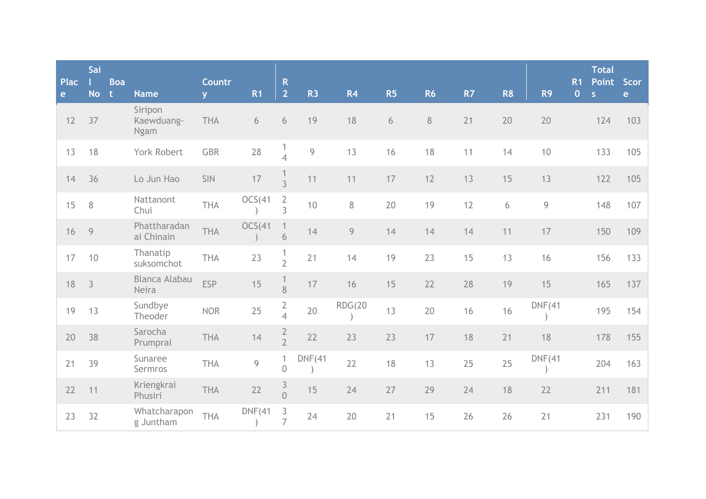| <b>Plac</b><br>e | Sai<br><b>No</b> | <b>Boa</b><br>$-t$ | <b>Name</b>                          | Countr<br>V. | R <sub>1</sub> | $\mathsf{R}$<br>$\overline{2}$   | R <sub>3</sub> | R <sub>4</sub> | R5               | <b>R6</b> | R7 | R <sub>8</sub> | R <sub>9</sub> | R <sub>1</sub><br>$\overline{0}$ | <b>Total</b><br>Point<br>$\overline{\mathbf{S}}$ | Scor<br>e |
|------------------|------------------|--------------------|--------------------------------------|--------------|----------------|----------------------------------|----------------|----------------|------------------|-----------|----|----------------|----------------|----------------------------------|--------------------------------------------------|-----------|
| 12               | 37               |                    | Siripon<br>Kaewduang-<br><b>Ngam</b> | THA          | 6              | 6                                | 19             | 18             | $\boldsymbol{6}$ | $8\,$     | 21 | 20             | 20             |                                  | 124                                              | 103       |
| 13               | 18               |                    | York Robert                          | <b>GBR</b>   | 28             | 1<br>$\overline{4}$              | $\mathcal{G}$  | 13             | 16               | 18        | 11 | 14             | 10             |                                  | 133                                              | 105       |
| 14               | 36               |                    | Lo Jun Hao                           | <b>SIN</b>   | $17\,$         | $\overline{3}$                   | 11             | 11             | 17               | 12        | 13 | 15             | 13             |                                  | 122                                              | 105       |
| 15               | $\, 8$           |                    | Nattanont<br>Chui                    | THA          | OCS(41)        | $\overline{2}$<br>$\overline{3}$ | 10             | 8              | 20               | 19        | 12 | 6              | 9              |                                  | 148                                              | 107       |
| 16               | $\overline{9}$   |                    | Phattharadan<br>ai Chinain           | <b>THA</b>   | OCS(41)        | 1<br>6                           | 14             | 9              | 14               | 14        | 14 | 11             | 17             |                                  | 150                                              | 109       |
| 17               | 10               |                    | Thanatip<br>suksomchot               | THA          | 23             | $\frac{1}{2}$                    | 21             | 14             | 19               | 23        | 15 | 13             | 16             |                                  | 156                                              | 133       |
| 18               | $\mathcal{S}$    |                    | <b>Blanca Alabau</b><br>Neira        | <b>ESP</b>   | 15             | 8                                | 17             | 16             | 15               | 22        | 28 | 19             | 15             |                                  | 165                                              | 137       |
| 19               | 13               |                    | Sundbye<br>Theoder                   | <b>NOR</b>   | 25             | $\frac{2}{4}$                    | 20             | <b>RDG(20</b>  | 13               | 20        | 16 | 16             | DNF(41)        |                                  | 195                                              | 154       |
| 20               | 38               |                    | Sarocha<br>Prumprai                  | THA          | 14             | $\frac{2}{2}$                    | 22             | 23             | 23               | 17        | 18 | 21             | 18             |                                  | 178                                              | 155       |
| 21               | 39               |                    | Sunaree<br>Sermros                   | THA          | 9              | 1<br>$\overline{0}$              | DNF(41)        | 22             | 18               | 13        | 25 | 25             | DNF(41)        |                                  | 204                                              | 163       |
| 22               | 11               |                    | Kriengkrai<br>Phusiri                | THA          | 22             | $\frac{3}{0}$                    | 15             | 24             | 27               | 29        | 24 | 18             | 22             |                                  | 211                                              | 181       |
| 23               | 32               |                    | Whatcharapon<br>g Juntham            | THA          | DNF(41)        | $\mathfrak{Z}$<br>$\overline{7}$ | 24             | 20             | 21               | 15        | 26 | 26             | 21             |                                  | 231                                              | 190       |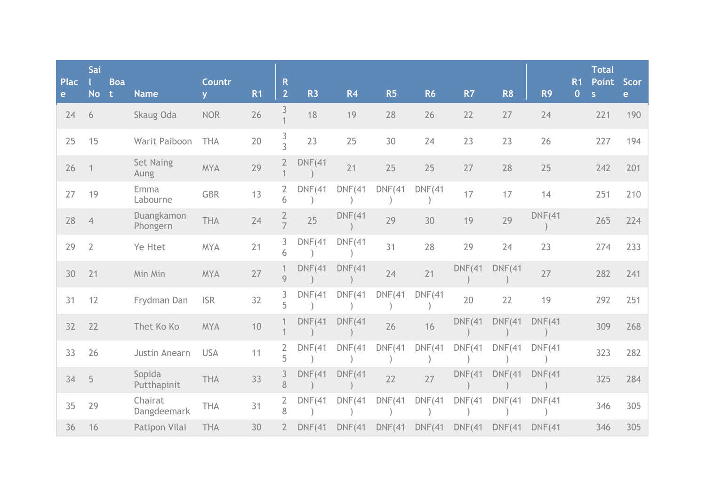| <b>Plac</b><br>e | Sai<br><b>No</b> | <b>Boa</b><br>t | <b>Name</b>              | Countr<br><b>V</b> | R <sub>1</sub> | $\mathsf{R}$<br>$\overline{2}$ | R <sub>3</sub> | R <sub>4</sub> | <b>R5</b> | <b>R6</b> | R7            | R <sub>8</sub> | R <sub>9</sub> | <b>R1</b><br>$\mathbf{O}$ | <b>Total</b><br><b>Point</b><br>S | <b>Scor</b><br>$\mathbf{e}$ |
|------------------|------------------|-----------------|--------------------------|--------------------|----------------|--------------------------------|----------------|----------------|-----------|-----------|---------------|----------------|----------------|---------------------------|-----------------------------------|-----------------------------|
| 24               | 6                |                 | Skaug Oda                | <b>NOR</b>         | 26             | 3                              | 18             | 19             | 28        | 26        | 22            | 27             | 24             |                           | 221                               | 190                         |
| 25               | 15               |                 | Warit Paiboon            | <b>THA</b>         | 20             | $\frac{3}{3}$                  | 23             | 25             | 30        | 24        | 23            | 23             | 26             |                           | 227                               | 194                         |
| 26               | $\mathbf{1}$     |                 | <b>Set Naing</b><br>Aung | <b>MYA</b>         | 29             | $2^{\circ}$                    | DNF(41)        | 21             | 25        | 25        | 27            | 28             | 25             |                           | 242                               | 201                         |
| 27               | 19               |                 | Emma<br>Labourne         | <b>GBR</b>         | 13             | $\overline{2}$<br>6            | DNF(41)        | DNF(41)        | DNF(41)   | DNF(41)   | 17            | 17             | 14             |                           | 251                               | 210                         |
| 28               | $\overline{4}$   |                 | Duangkamon<br>Phongern   | THA                | 24             | $\frac{2}{7}$                  | 25             | DNF(41)        | 29        | 30        | 19            | 29             | DNF(41)        |                           | 265                               | 224                         |
| 29               | $\overline{2}$   |                 | Ye Htet                  | <b>MYA</b>         | 21             | 3<br>6                         | DNF(41)        | DNF(41)        | 31        | 28        | 29            | 24             | 23             |                           | 274                               | 233                         |
| 30               | 21               |                 | Min Min                  | <b>MYA</b>         | 27             | $\mathbf{1}$<br>$\overline{9}$ | <b>DNF(41</b>  | DNF(41)        | 24        | 21        | <b>DNF(41</b> | DNF(41)        | 27             |                           | 282                               | 241                         |
| 31               | 12               |                 | Frydman Dan              | <b>ISR</b>         | 32             | 3<br>5                         | DNF(41)        | DNF(41)        | DNF(41)   | DNF(41)   | 20            | 22             | 19             |                           | 292                               | 251                         |
| 32               | 22               |                 | Thet Ko Ko               | <b>MYA</b>         | 10             |                                | <b>DNF(41</b>  | DNF(41)        | 26        | 16        | DNF(41)       | DNF(41)        | DNF(41)        |                           | 309                               | 268                         |
| 33               | 26               |                 | Justin Anearn            | <b>USA</b>         | 11             | 2<br>5                         | <b>DNF(41</b>  | <b>DNF(41</b>  | DNF(41)   | DNF(41)   | DNF(41)       | DNF(41)        | DNF(41)        |                           | 323                               | 282                         |
| 34               | 5                |                 | Sopida<br>Putthapinit    | <b>THA</b>         | 33             | 3<br>8                         | DNF(41)        | <b>DNF(41</b>  | 22        | 27        | <b>DNF(41</b> | DNF(41)        | DNF(41)        |                           | 325                               | 284                         |
| 35               | 29               |                 | Chairat<br>Dangdeemark   | <b>THA</b>         | 31             | 2<br>8                         | DNF(41)        | DNF(41)        | DNF(41)   | DNF(41)   | DNF(41)       | DNF(41)        | DNF(41)        |                           | 346                               | 305                         |
| 36               | 16               |                 | Patipon Vilai            | <b>THA</b>         | 30             | $\overline{2}$                 | DNF(41)        | DNF(41)        | DNF(41)   | DNF(41)   | DNF(41)       | DNF(41)        | DNF(41)        |                           | 346                               | 305                         |